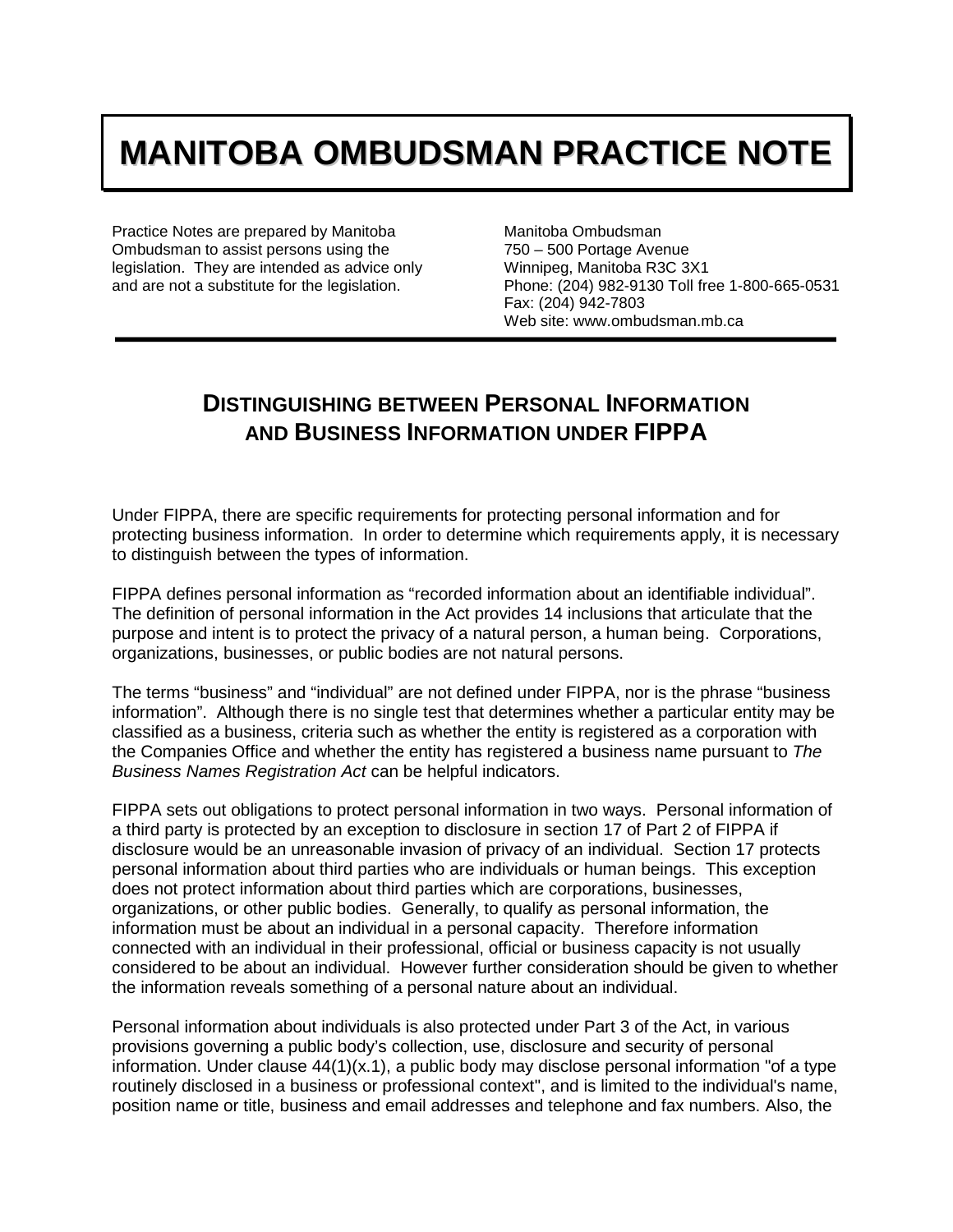## **MANITOBA OMBUDSMAN PRACTICE NOTE**

Practice Notes are prepared by Manitoba Ombudsman to assist persons using the legislation. They are intended as advice only and are not a substitute for the legislation.

Manitoba Ombudsman 750 – 500 Portage Avenue Winnipeg, Manitoba R3C 3X1 Phone: (204) 982-9130 Toll free 1-800-665-0531 Fax: (204) 942-7803 Web site: www.ombudsman.mb.ca

## **DISTINGUISHING BETWEEN PERSONAL INFORMATION AND BUSINESS INFORMATION UNDER FIPPA**

Under FIPPA, there are specific requirements for protecting personal information and for protecting business information. In order to determine which requirements apply, it is necessary to distinguish between the types of information.

FIPPA defines personal information as "recorded information about an identifiable individual". The definition of personal information in the Act provides 14 inclusions that articulate that the purpose and intent is to protect the privacy of a natural person, a human being. Corporations, organizations, businesses, or public bodies are not natural persons.

The terms "business" and "individual" are not defined under FIPPA, nor is the phrase "business information". Although there is no single test that determines whether a particular entity may be classified as a business, criteria such as whether the entity is registered as a corporation with the Companies Office and whether the entity has registered a business name pursuant to *The Business Names Registration Act* can be helpful indicators.

FIPPA sets out obligations to protect personal information in two ways. Personal information of a third party is protected by an exception to disclosure in section 17 of Part 2 of FIPPA if disclosure would be an unreasonable invasion of privacy of an individual. Section 17 protects personal information about third parties who are individuals or human beings. This exception does not protect information about third parties which are corporations, businesses, organizations, or other public bodies. Generally, to qualify as personal information, the information must be about an individual in a personal capacity. Therefore information connected with an individual in their professional, official or business capacity is not usually considered to be about an individual. However further consideration should be given to whether the information reveals something of a personal nature about an individual.

Personal information about individuals is also protected under Part 3 of the Act, in various provisions governing a public body's collection, use, disclosure and security of personal information. Under clause  $44(1)(x.1)$ , a public body may disclose personal information "of a type routinely disclosed in a business or professional context", and is limited to the individual's name, position name or title, business and email addresses and telephone and fax numbers. Also, the